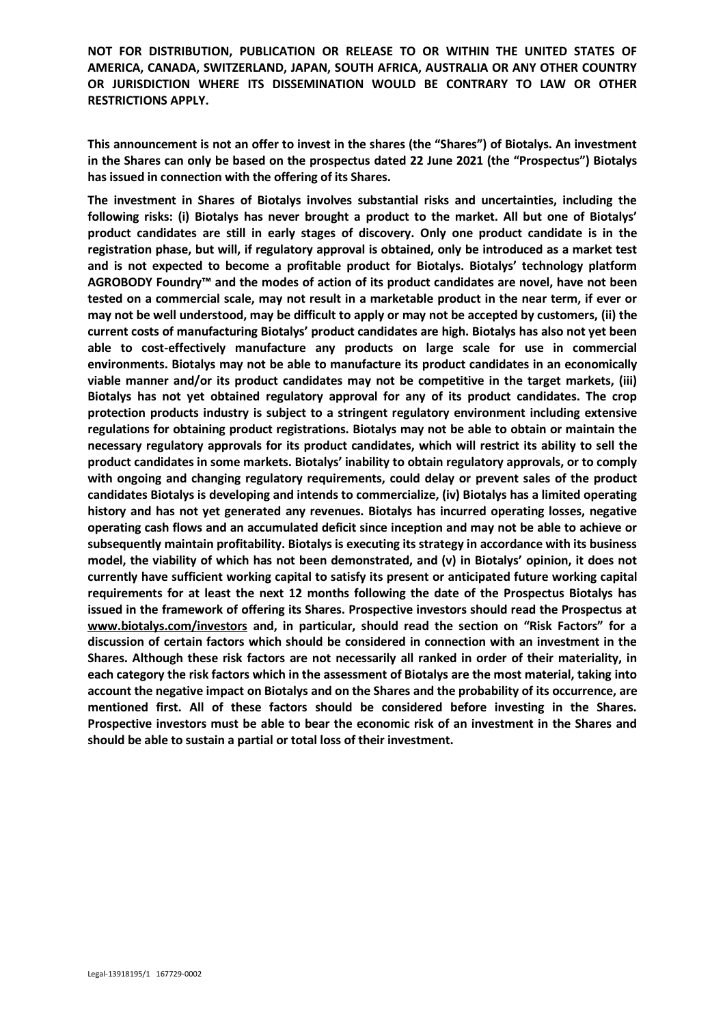**This announcement is not an offer to invest in the shares (the "Shares") of Biotalys. An investment in the Shares can only be based on the prospectus dated 22 June 2021 (the "Prospectus") Biotalys has issued in connection with the offering of its Shares.**

**The investment in Shares of Biotalys involves substantial risks and uncertainties, including the following risks: (i) Biotalys has never brought a product to the market. All but one of Biotalys' product candidates are still in early stages of discovery. Only one product candidate is in the registration phase, but will, if regulatory approval is obtained, only be introduced as a market test and is not expected to become a profitable product for Biotalys. Biotalys' technology platform AGROBODY Foundry™ and the modes of action of its product candidates are novel, have not been tested on a commercial scale, may not result in a marketable product in the near term, if ever or may not be well understood, may be difficult to apply or may not be accepted by customers, (ii) the current costs of manufacturing Biotalys' product candidates are high. Biotalys has also not yet been able to cost-effectively manufacture any products on large scale for use in commercial environments. Biotalys may not be able to manufacture its product candidates in an economically viable manner and/or its product candidates may not be competitive in the target markets, (iii) Biotalys has not yet obtained regulatory approval for any of its product candidates. The crop protection products industry is subject to a stringent regulatory environment including extensive regulations for obtaining product registrations. Biotalys may not be able to obtain or maintain the necessary regulatory approvals for its product candidates, which will restrict its ability to sell the product candidates in some markets. Biotalys' inability to obtain regulatory approvals, or to comply with ongoing and changing regulatory requirements, could delay or prevent sales of the product candidates Biotalys is developing and intends to commercialize, (iv) Biotalys has a limited operating history and has not yet generated any revenues. Biotalys has incurred operating losses, negative operating cash flows and an accumulated deficit since inception and may not be able to achieve or subsequently maintain profitability. Biotalys is executing its strategy in accordance with its business model, the viability of which has not been demonstrated, and (v) in Biotalys' opinion, it does not currently have sufficient working capital to satisfy its present or anticipated future working capital requirements for at least the next 12 months following the date of the Prospectus Biotalys has issued in the framework of offering its Shares. Prospective investors should read the Prospectus at [www.biotalys.com/investors](http://www.biotalys.com/investors) and, in particular, should read the section on "Risk Factors" for a discussion of certain factors which should be considered in connection with an investment in the Shares. Although these risk factors are not necessarily all ranked in order of their materiality, in each category the risk factors which in the assessment of Biotalys are the most material, taking into account the negative impact on Biotalys and on the Shares and the probability of its occurrence, are mentioned first. All of these factors should be considered before investing in the Shares. Prospective investors must be able to bear the economic risk of an investment in the Shares and should be able to sustain a partial or total loss of their investment.**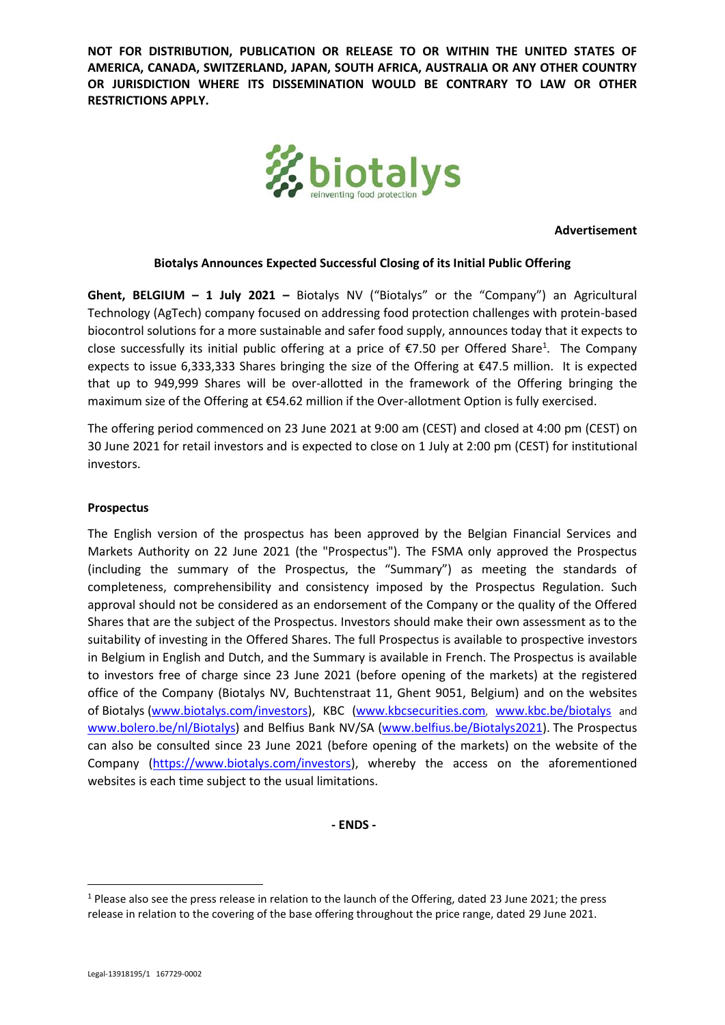

**Advertisement**

#### **Biotalys Announces Expected Successful Closing of its Initial Public Offering**

**Ghent, BELGIUM – 1 July 2021 –** Biotalys NV ("Biotalys" or the "Company") an Agricultural Technology (AgTech) company focused on addressing food protection challenges with protein-based biocontrol solutions for a more sustainable and safer food supply, announces today that it expects to close successfully its initial public offering at a price of  $E$ 7.50 per Offered Share<sup>1</sup>. The Company expects to issue 6,333,333 Shares bringing the size of the Offering at €47.5 million. It is expected that up to 949,999 Shares will be over-allotted in the framework of the Offering bringing the maximum size of the Offering at €54.62 million if the Over-allotment Option is fully exercised.

The offering period commenced on 23 June 2021 at 9:00 am (CEST) and closed at 4:00 pm (CEST) on 30 June 2021 for retail investors and is expected to close on 1 July at 2:00 pm (CEST) for institutional investors.

#### **Prospectus**

The English version of the prospectus has been approved by the Belgian Financial Services and Markets Authority on 22 June 2021 (the "Prospectus"). The FSMA only approved the Prospectus (including the summary of the Prospectus, the "Summary") as meeting the standards of completeness, comprehensibility and consistency imposed by the Prospectus Regulation. Such approval should not be considered as an endorsement of the Company or the quality of the Offered Shares that are the subject of the Prospectus. Investors should make their own assessment as to the suitability of investing in the Offered Shares. The full Prospectus is available to prospective investors in Belgium in English and Dutch, and the Summary is available in French. The Prospectus is available to investors free of charge since 23 June 2021 (before opening of the markets) at the registered office of the Company (Biotalys NV, Buchtenstraat 11, Ghent 9051, Belgium) and on the websites of Biotalys [\(www.biotalys.com/investors\)](http://www.biotalys.com/investors), KBC [\(www.kbcsecurities.com](https://www.kbcsecurities.com/prospectus-documents-overviews/prospectus-overview), [www.kbc.be/biotalys](http://www.kbc.be/biotalys) and [www.bolero.be/nl/Biotalys\)](http://www.bolero.be/nl/Biotalys) and Belfius Bank NV/SA [\(www.belfius.be/Biotalys2021\)](file:///C:/Users/toon.musschoot/AppData/Local/Microsoft/Windows/INetCache/Content.Outlook/WTAG9WZB/www.belfius.be/Biotalys2021). The Prospectus can also be consulted since 23 June 2021 (before opening of the markets) on the website of the Company [\(https://www.biotalys.com/investors\)](https://www.biotalys.com/investors), whereby the access on the aforementioned websites is each time subject to the usual limitations.

**- ENDS -**

 $1$  Please also see the press release in relation to the launch of the Offering, dated 23 June 2021; the press release in relation to the covering of the base offering throughout the price range, dated 29 June 2021.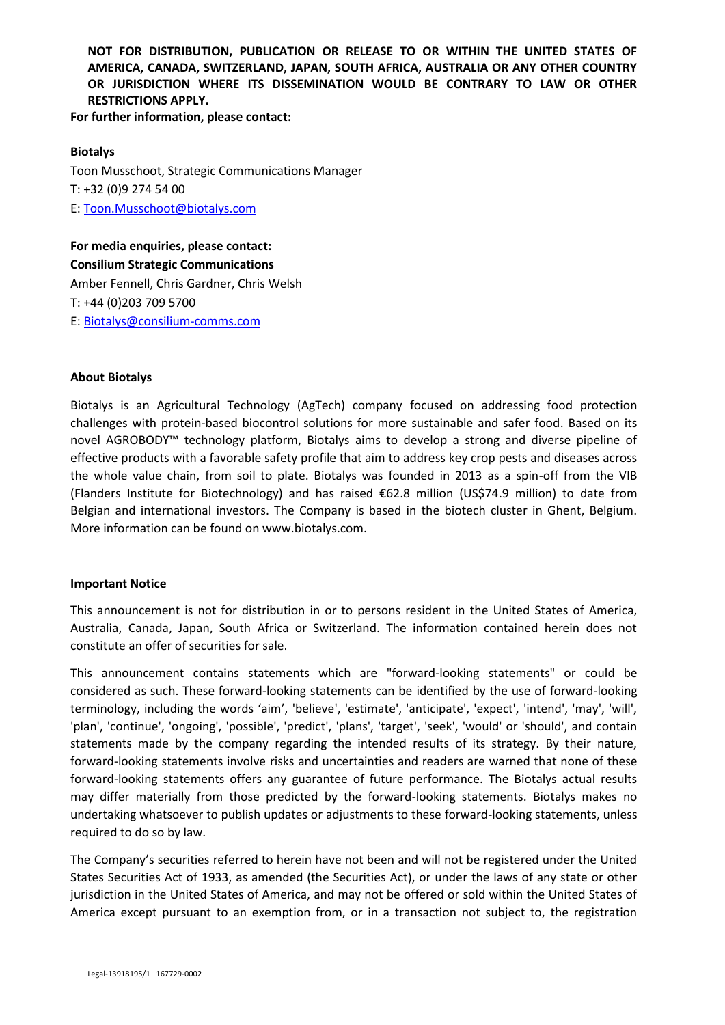**For further information, please contact:**

### **Biotalys**

Toon Musschoot, Strategic Communications Manager T: +32 (0)9 274 54 00 E: Toon.Musschoot@biotalys.com

**For media enquiries, please contact: Consilium Strategic Communications** Amber Fennell, Chris Gardner, Chris Welsh T: +44 (0)203 709 5700 E: Biotalys@consilium-comms.com

### **About Biotalys**

Biotalys is an Agricultural Technology (AgTech) company focused on addressing food protection challenges with protein-based biocontrol solutions for more sustainable and safer food. Based on its novel AGROBODY™ technology platform, Biotalys aims to develop a strong and diverse pipeline of effective products with a favorable safety profile that aim to address key crop pests and diseases across the whole value chain, from soil to plate. Biotalys was founded in 2013 as a spin-off from the VIB (Flanders Institute for Biotechnology) and has raised €62.8 million (US\$74.9 million) to date from Belgian and international investors. The Company is based in the biotech cluster in Ghent, Belgium. More information can be found on www.biotalys.com.

#### **Important Notice**

This announcement is not for distribution in or to persons resident in the United States of America, Australia, Canada, Japan, South Africa or Switzerland. The information contained herein does not constitute an offer of securities for sale.

This announcement contains statements which are "forward-looking statements" or could be considered as such. These forward-looking statements can be identified by the use of forward-looking terminology, including the words 'aim', 'believe', 'estimate', 'anticipate', 'expect', 'intend', 'may', 'will', 'plan', 'continue', 'ongoing', 'possible', 'predict', 'plans', 'target', 'seek', 'would' or 'should', and contain statements made by the company regarding the intended results of its strategy. By their nature, forward-looking statements involve risks and uncertainties and readers are warned that none of these forward-looking statements offers any guarantee of future performance. The Biotalys actual results may differ materially from those predicted by the forward-looking statements. Biotalys makes no undertaking whatsoever to publish updates or adjustments to these forward-looking statements, unless required to do so by law.

The Company's securities referred to herein have not been and will not be registered under the United States Securities Act of 1933, as amended (the Securities Act), or under the laws of any state or other jurisdiction in the United States of America, and may not be offered or sold within the United States of America except pursuant to an exemption from, or in a transaction not subject to, the registration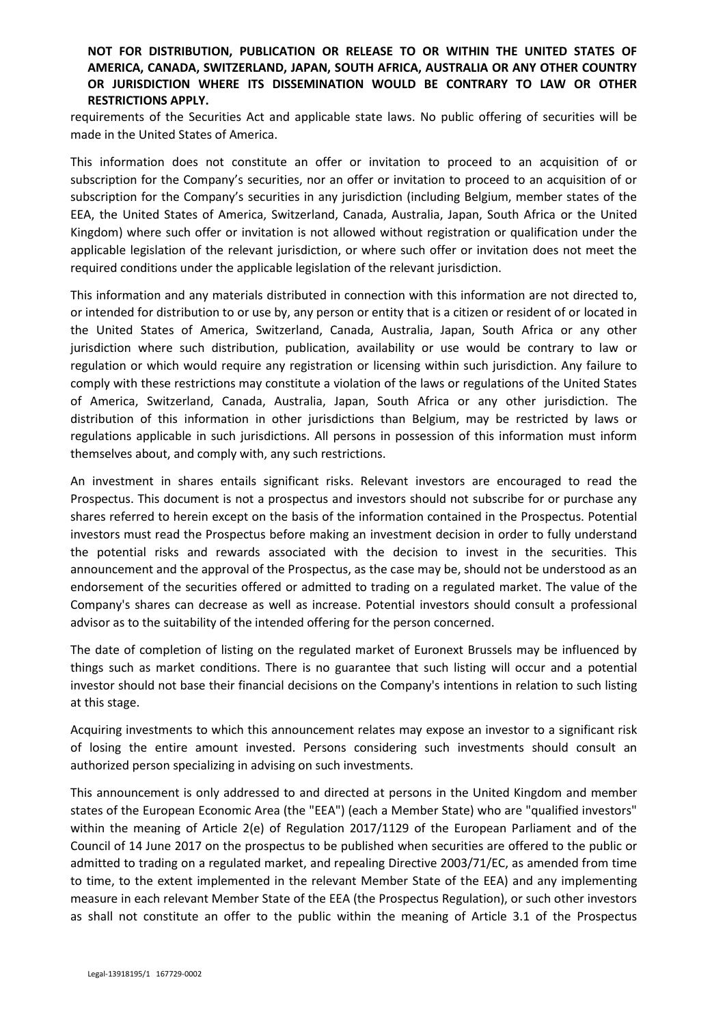requirements of the Securities Act and applicable state laws. No public offering of securities will be made in the United States of America.

This information does not constitute an offer or invitation to proceed to an acquisition of or subscription for the Company's securities, nor an offer or invitation to proceed to an acquisition of or subscription for the Company's securities in any jurisdiction (including Belgium, member states of the EEA, the United States of America, Switzerland, Canada, Australia, Japan, South Africa or the United Kingdom) where such offer or invitation is not allowed without registration or qualification under the applicable legislation of the relevant jurisdiction, or where such offer or invitation does not meet the required conditions under the applicable legislation of the relevant jurisdiction.

This information and any materials distributed in connection with this information are not directed to, or intended for distribution to or use by, any person or entity that is a citizen or resident of or located in the United States of America, Switzerland, Canada, Australia, Japan, South Africa or any other jurisdiction where such distribution, publication, availability or use would be contrary to law or regulation or which would require any registration or licensing within such jurisdiction. Any failure to comply with these restrictions may constitute a violation of the laws or regulations of the United States of America, Switzerland, Canada, Australia, Japan, South Africa or any other jurisdiction. The distribution of this information in other jurisdictions than Belgium, may be restricted by laws or regulations applicable in such jurisdictions. All persons in possession of this information must inform themselves about, and comply with, any such restrictions.

An investment in shares entails significant risks. Relevant investors are encouraged to read the Prospectus. This document is not a prospectus and investors should not subscribe for or purchase any shares referred to herein except on the basis of the information contained in the Prospectus. Potential investors must read the Prospectus before making an investment decision in order to fully understand the potential risks and rewards associated with the decision to invest in the securities. This announcement and the approval of the Prospectus, as the case may be, should not be understood as an endorsement of the securities offered or admitted to trading on a regulated market. The value of the Company's shares can decrease as well as increase. Potential investors should consult a professional advisor as to the suitability of the intended offering for the person concerned.

The date of completion of listing on the regulated market of Euronext Brussels may be influenced by things such as market conditions. There is no guarantee that such listing will occur and a potential investor should not base their financial decisions on the Company's intentions in relation to such listing at this stage.

Acquiring investments to which this announcement relates may expose an investor to a significant risk of losing the entire amount invested. Persons considering such investments should consult an authorized person specializing in advising on such investments.

This announcement is only addressed to and directed at persons in the United Kingdom and member states of the European Economic Area (the "EEA") (each a Member State) who are "qualified investors" within the meaning of Article 2(e) of Regulation 2017/1129 of the European Parliament and of the Council of 14 June 2017 on the prospectus to be published when securities are offered to the public or admitted to trading on a regulated market, and repealing Directive 2003/71/EC, as amended from time to time, to the extent implemented in the relevant Member State of the EEA) and any implementing measure in each relevant Member State of the EEA (the Prospectus Regulation), or such other investors as shall not constitute an offer to the public within the meaning of Article 3.1 of the Prospectus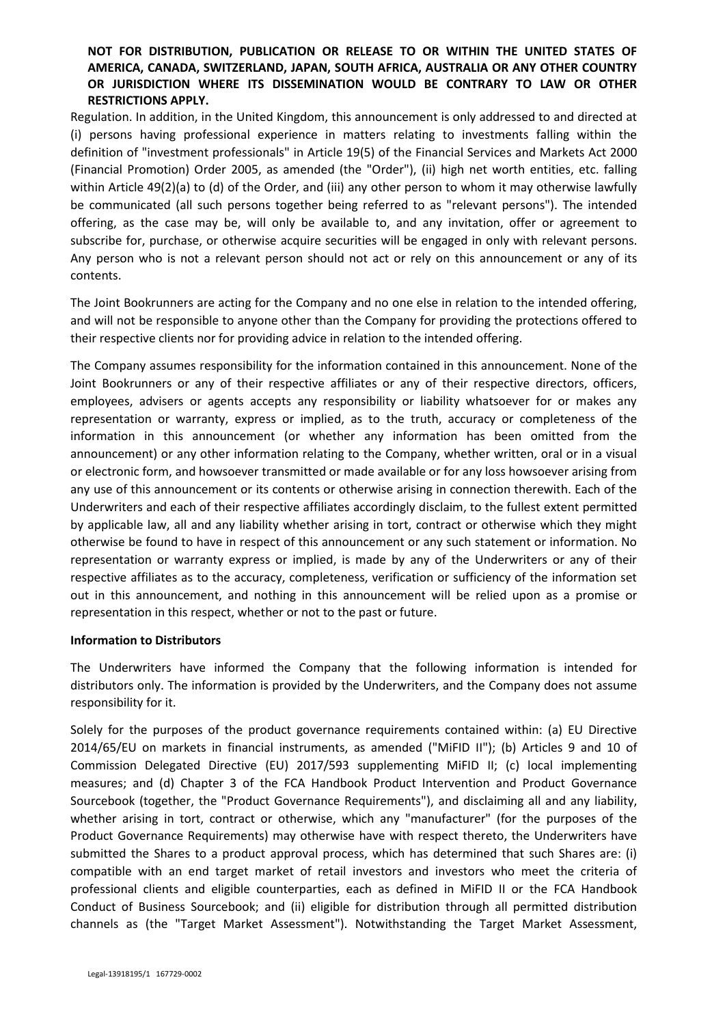Regulation. In addition, in the United Kingdom, this announcement is only addressed to and directed at (i) persons having professional experience in matters relating to investments falling within the definition of "investment professionals" in Article 19(5) of the Financial Services and Markets Act 2000 (Financial Promotion) Order 2005, as amended (the "Order"), (ii) high net worth entities, etc. falling within Article 49(2)(a) to (d) of the Order, and (iii) any other person to whom it may otherwise lawfully be communicated (all such persons together being referred to as "relevant persons"). The intended offering, as the case may be, will only be available to, and any invitation, offer or agreement to subscribe for, purchase, or otherwise acquire securities will be engaged in only with relevant persons. Any person who is not a relevant person should not act or rely on this announcement or any of its contents.

The Joint Bookrunners are acting for the Company and no one else in relation to the intended offering, and will not be responsible to anyone other than the Company for providing the protections offered to their respective clients nor for providing advice in relation to the intended offering.

The Company assumes responsibility for the information contained in this announcement. None of the Joint Bookrunners or any of their respective affiliates or any of their respective directors, officers, employees, advisers or agents accepts any responsibility or liability whatsoever for or makes any representation or warranty, express or implied, as to the truth, accuracy or completeness of the information in this announcement (or whether any information has been omitted from the announcement) or any other information relating to the Company, whether written, oral or in a visual or electronic form, and howsoever transmitted or made available or for any loss howsoever arising from any use of this announcement or its contents or otherwise arising in connection therewith. Each of the Underwriters and each of their respective affiliates accordingly disclaim, to the fullest extent permitted by applicable law, all and any liability whether arising in tort, contract or otherwise which they might otherwise be found to have in respect of this announcement or any such statement or information. No representation or warranty express or implied, is made by any of the Underwriters or any of their respective affiliates as to the accuracy, completeness, verification or sufficiency of the information set out in this announcement, and nothing in this announcement will be relied upon as a promise or representation in this respect, whether or not to the past or future.

### **Information to Distributors**

The Underwriters have informed the Company that the following information is intended for distributors only. The information is provided by the Underwriters, and the Company does not assume responsibility for it.

Solely for the purposes of the product governance requirements contained within: (a) EU Directive 2014/65/EU on markets in financial instruments, as amended ("MiFID II"); (b) Articles 9 and 10 of Commission Delegated Directive (EU) 2017/593 supplementing MiFID II; (c) local implementing measures; and (d) Chapter 3 of the FCA Handbook Product Intervention and Product Governance Sourcebook (together, the "Product Governance Requirements"), and disclaiming all and any liability, whether arising in tort, contract or otherwise, which any "manufacturer" (for the purposes of the Product Governance Requirements) may otherwise have with respect thereto, the Underwriters have submitted the Shares to a product approval process, which has determined that such Shares are: (i) compatible with an end target market of retail investors and investors who meet the criteria of professional clients and eligible counterparties, each as defined in MiFID II or the FCA Handbook Conduct of Business Sourcebook; and (ii) eligible for distribution through all permitted distribution channels as (the "Target Market Assessment"). Notwithstanding the Target Market Assessment,